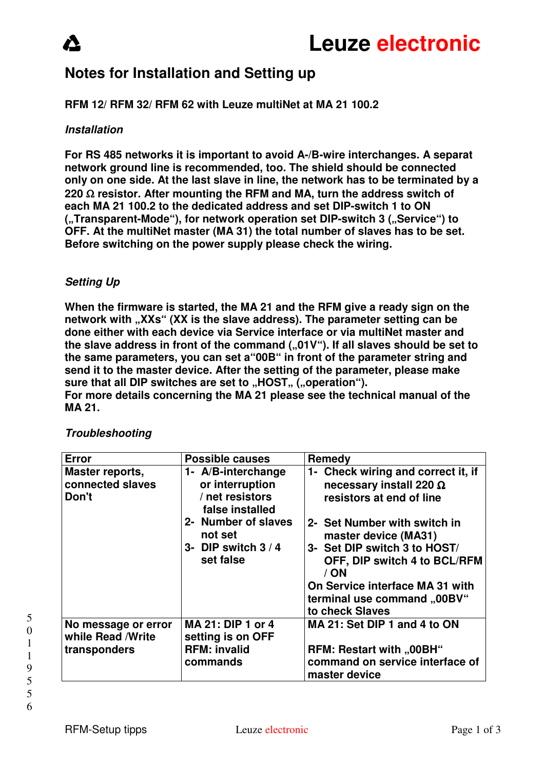# **Notes for Installation and Setting up**

## **RFM 12/ RFM 32/ RFM 62 with Leuze multiNet at MA 21 100.2**

### **Installation**

**For RS 485 networks it is important to avoid A-/B-wire interchanges. A separat network ground line is recommended, too. The shield should be connected only on one side. At the last slave in line, the network has to be terminated by a 220** Ω **resistor. After mounting the RFM and MA, turn the address switch of each MA 21 100.2 to the dedicated address and set DIP-switch 1 to ON ("Transparent-Mode"), for network operation set DIP-switch 3 ("Service") to OFF. At the multiNet master (MA 31) the total number of slaves has to be set. Before switching on the power supply please check the wiring.** 

# **Setting Up**

**When the firmware is started, the MA 21 and the RFM give a ready sign on the network with "XXs" (XX is the slave address). The parameter setting can be done either with each device via Service interface or via multiNet master and**  the slave address in front of the command (..01V"). If all slaves should be set to **the same parameters, you can set a"00B" in front of the parameter string and send it to the master device. After the setting of the parameter, please make**  sure that all DIP switches are set to "HOST" ("operation"). **For more details concerning the MA 21 please see the technical manual of the MA 21.** 

| <b>Error</b>                                              | <b>Possible causes</b>                                                                                                                            | Remedy                                                                                                                                                                                                                                                                                                                  |
|-----------------------------------------------------------|---------------------------------------------------------------------------------------------------------------------------------------------------|-------------------------------------------------------------------------------------------------------------------------------------------------------------------------------------------------------------------------------------------------------------------------------------------------------------------------|
| Master reports,<br>connected slaves<br>Don't              | 1- A/B-interchange<br>or interruption<br>/ net resistors<br>false installed<br>2- Number of slaves<br>not set<br>3- DIP switch $3/4$<br>set false | 1- Check wiring and correct it, if<br>necessary install 220 $\Omega$<br>resistors at end of line<br>2- Set Number with switch in<br>master device (MA31)<br>3- Set DIP switch 3 to HOST/<br>OFF, DIP switch 4 to BCL/RFM<br>$/$ ON<br>On Service interface MA 31 with<br>terminal use command "00BV"<br>to check Slaves |
| No message or error<br>while Read / Write<br>transponders | MA 21: DIP 1 or 4<br>setting is on OFF<br><b>RFM: invalid</b><br>commands                                                                         | MA 21: Set DIP 1 and 4 to ON<br>RFM: Restart with "00BH"<br>command on service interface of<br>master device                                                                                                                                                                                                            |

# **Troubleshooting**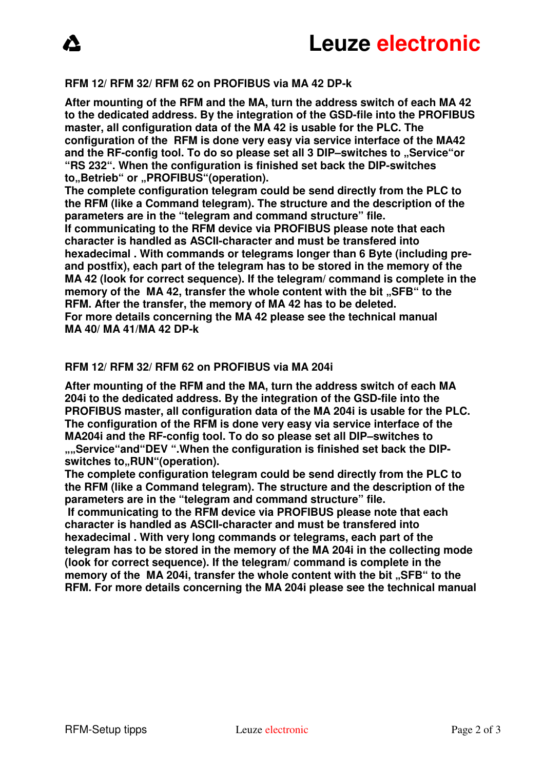### **RFM 12/ RFM 32/ RFM 62 on PROFIBUS via MA 42 DP-k**

**After mounting of the RFM and the MA, turn the address switch of each MA 42 to the dedicated address. By the integration of the GSD-file into the PROFIBUS master, all configuration data of the MA 42 is usable for the PLC. The configuration of the RFM is done very easy via service interface of the MA42**  and the RF-config tool. To do so please set all 3 DIP–switches to "Service"or **"RS 232". When the configuration is finished set back the DIP-switches**  to, Betrieb" or "PROFIBUS"(operation).

**The complete configuration telegram could be send directly from the PLC to the RFM (like a Command telegram). The structure and the description of the parameters are in the "telegram and command structure" file.** 

**If communicating to the RFM device via PROFIBUS please note that each character is handled as ASCII-character and must be transfered into hexadecimal . With commands or telegrams longer than 6 Byte (including preand postfix), each part of the telegram has to be stored in the memory of the MA 42 (look for correct sequence). If the telegram/ command is complete in the**  memory of the MA 42, transfer the whole content with the bit ..SFB" to the **RFM. After the transfer, the memory of MA 42 has to be deleted. For more details concerning the MA 42 please see the technical manual MA 40/ MA 41/MA 42 DP-k** 

#### **RFM 12/ RFM 32/ RFM 62 on PROFIBUS via MA 204i**

**After mounting of the RFM and the MA, turn the address switch of each MA 204i to the dedicated address. By the integration of the GSD-file into the PROFIBUS master, all configuration data of the MA 204i is usable for the PLC. The configuration of the RFM is done very easy via service interface of the MA204i and the RF-config tool. To do so please set all DIP–switches to**  ...Service "and "DEV ". When the configuration is finished set back the DIPswitches to,,RUN"(operation).

**The complete configuration telegram could be send directly from the PLC to the RFM (like a Command telegram). The structure and the description of the parameters are in the "telegram and command structure" file.** 

 **If communicating to the RFM device via PROFIBUS please note that each character is handled as ASCII-character and must be transfered into hexadecimal . With very long commands or telegrams, each part of the telegram has to be stored in the memory of the MA 204i in the collecting mode (look for correct sequence). If the telegram/ command is complete in the**  memory of the MA 204i, transfer the whole content with the bit ..SFB" to the **RFM. For more details concerning the MA 204i please see the technical manual**